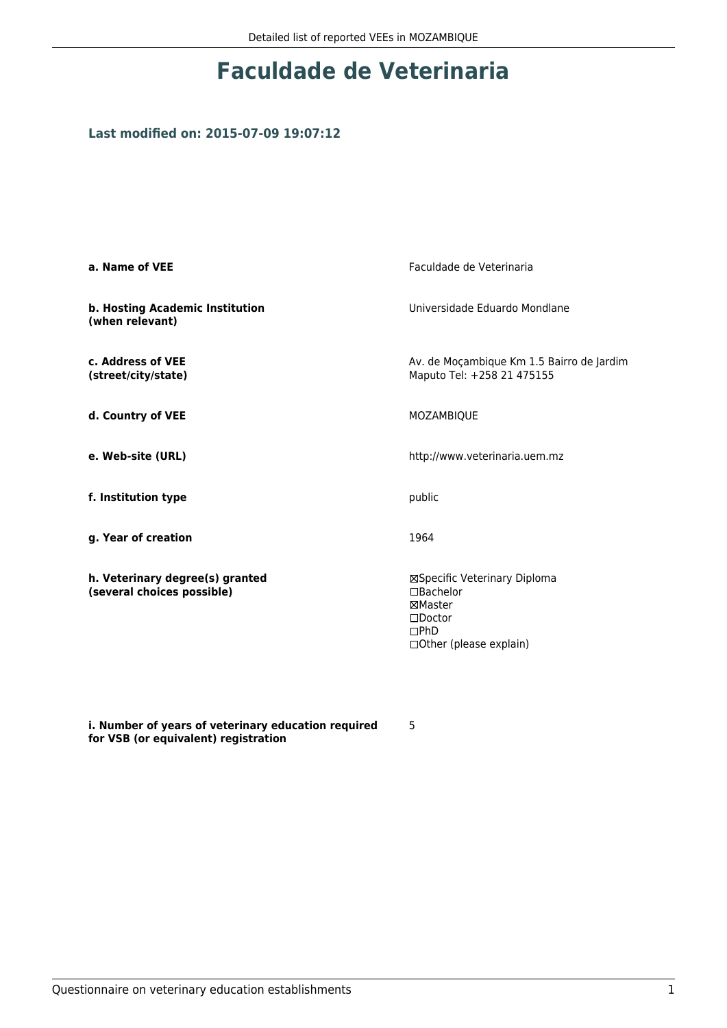## **Faculdade de Veterinaria**

## **Last modified on: 2015-07-09 19:07:12**

| a. Name of VEE                                                | Faculdade de Veterinaria                                                                                              |  |
|---------------------------------------------------------------|-----------------------------------------------------------------------------------------------------------------------|--|
| b. Hosting Academic Institution<br>(when relevant)            | Universidade Eduardo Mondlane                                                                                         |  |
| c. Address of VEE<br>(street/city/state)                      | Av. de Moçambique Km 1.5 Bairro de Jardim<br>Maputo Tel: +258 21 475155                                               |  |
| d. Country of VEE                                             | MOZAMBIQUE                                                                                                            |  |
| e. Web-site (URL)                                             | http://www.veterinaria.uem.mz                                                                                         |  |
| f. Institution type                                           | public                                                                                                                |  |
| g. Year of creation                                           | 1964                                                                                                                  |  |
| h. Veterinary degree(s) granted<br>(several choices possible) | ⊠Specific Veterinary Diploma<br>□Bachelor<br>⊠Master<br>$\square$ Doctor<br>$\square$ PhD<br>□ Other (please explain) |  |

**i. Number of years of veterinary education required for VSB (or equivalent) registration**

5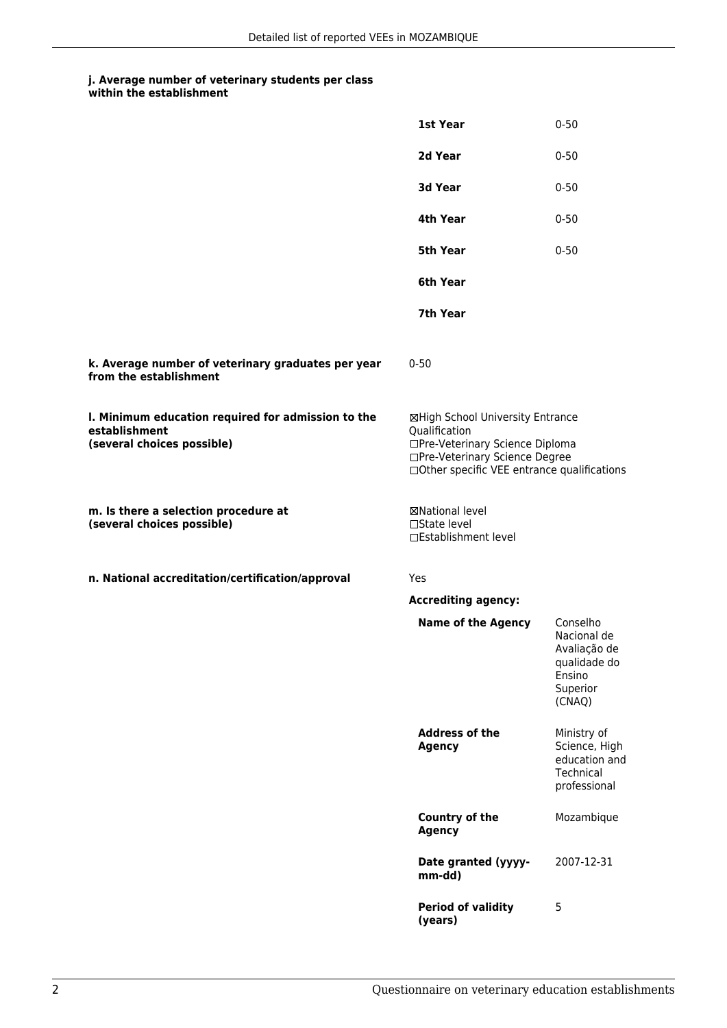## **j. Average number of veterinary students per class**

|                                                                                                   | 1st Year                                                                                                                                                              | $0 - 50$                                                                                |
|---------------------------------------------------------------------------------------------------|-----------------------------------------------------------------------------------------------------------------------------------------------------------------------|-----------------------------------------------------------------------------------------|
|                                                                                                   | 2d Year                                                                                                                                                               | $0 - 50$                                                                                |
|                                                                                                   | 3d Year                                                                                                                                                               | $0 - 50$                                                                                |
|                                                                                                   | 4th Year                                                                                                                                                              | $0 - 50$                                                                                |
|                                                                                                   | 5th Year                                                                                                                                                              | $0 - 50$                                                                                |
|                                                                                                   | 6th Year                                                                                                                                                              |                                                                                         |
|                                                                                                   | 7th Year                                                                                                                                                              |                                                                                         |
| k. Average number of veterinary graduates per year<br>from the establishment                      | $0 - 50$                                                                                                                                                              |                                                                                         |
| I. Minimum education required for admission to the<br>establishment<br>(several choices possible) | ⊠High School University Entrance<br>Qualification<br>□Pre-Veterinary Science Diploma<br>□Pre-Veterinary Science Degree<br>□Other specific VEE entrance qualifications |                                                                                         |
| m. Is there a selection procedure at<br>(several choices possible)                                | ⊠National level<br>$\Box$ State level<br>□Establishment level                                                                                                         |                                                                                         |
| n. National accreditation/certification/approval                                                  | Yes                                                                                                                                                                   |                                                                                         |
|                                                                                                   | <b>Accrediting agency:</b>                                                                                                                                            |                                                                                         |
|                                                                                                   | <b>Name of the Agency</b>                                                                                                                                             | Conselho<br>Nacional de<br>Avaliação de<br>qualidade do<br>Ensino<br>Superior<br>(CNAQ) |
|                                                                                                   | <b>Address of the</b><br><b>Agency</b>                                                                                                                                | Ministry of<br>Science, High<br>education and<br>Technical<br>professional              |
|                                                                                                   | <b>Country of the</b><br><b>Agency</b>                                                                                                                                | Mozambique                                                                              |
|                                                                                                   | Date granted (yyyy-<br>mm-dd)                                                                                                                                         | 2007-12-31                                                                              |
|                                                                                                   | <b>Period of validity</b><br>(years)                                                                                                                                  | 5                                                                                       |